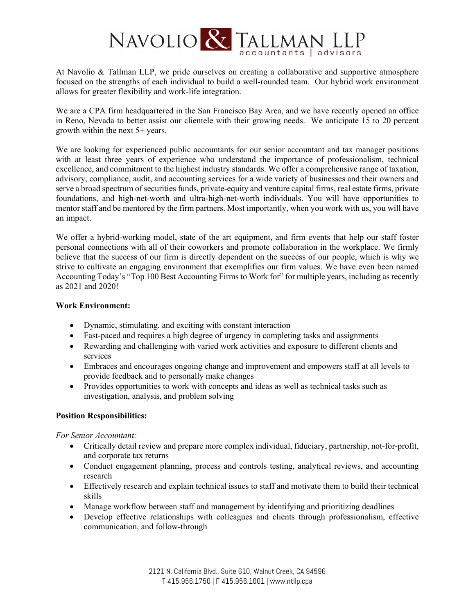

At Navolio & Tallman LLP, we pride ourselves on creating a collaborative and supportive atmosphere focused on the strengths of each individual to build a well-rounded team. Our hybrid work environment allows for greater flexibility and work-life integration.

We are a CPA firm headquartered in the San Francisco Bay Area, and we have recently opened an office in Reno, Nevada to better assist our clientele with their growing needs. We anticipate 15 to 20 percent growth within the next 5+ years.

We are looking for experienced public accountants for our senior accountant and tax manager positions with at least three years of experience who understand the importance of professionalism, technical excellence, and commitment to the highest industry standards. We offer a comprehensive range of taxation, advisory, compliance, audit, and accounting services for a wide variety of businesses and their owners and serve a broad spectrum of securities funds, private-equity and venture capital firms, real estate firms, private foundations, and high-net-worth and ultra-high-net-worth individuals. You will have opportunities to mentor staff and be mentored by the firm partners. Most importantly, when you work with us, you will have an impact.

We offer a hybrid-working model, state of the art equipment, and firm events that help our staff foster personal connections with all of their coworkers and promote collaboration in the workplace. We firmly believe that the success of our firm is directly dependent on the success of our people, which is why we strive to cultivate an engaging environment that exemplifies our firm values. We have even been named Accounting Today's "Top 100 Best Accounting Firms to Work for" for multiple years, including as recently as 2021 and 2020!

#### **Work Environment:**

- Dynamic, stimulating, and exciting with constant interaction
- Fast-paced and requires a high degree of urgency in completing tasks and assignments
- Rewarding and challenging with varied work activities and exposure to different clients and services
- Embraces and encourages ongoing change and improvement and empowers staff at all levels to provide feedback and to personally make changes
- Provides opportunities to work with concepts and ideas as well as technical tasks such as investigation, analysis, and problem solving

#### **Position Responsibilities:**

*For Senior Accountant:* 

- Critically detail review and prepare more complex individual, fiduciary, partnership, not-for-profit, and corporate tax returns
- Conduct engagement planning, process and controls testing, analytical reviews, and accounting research
- Effectively research and explain technical issues to staff and motivate them to build their technical skills
- Manage workflow between staff and management by identifying and prioritizing deadlines
- Develop effective relationships with colleagues and clients through professionalism, effective communication, and follow-through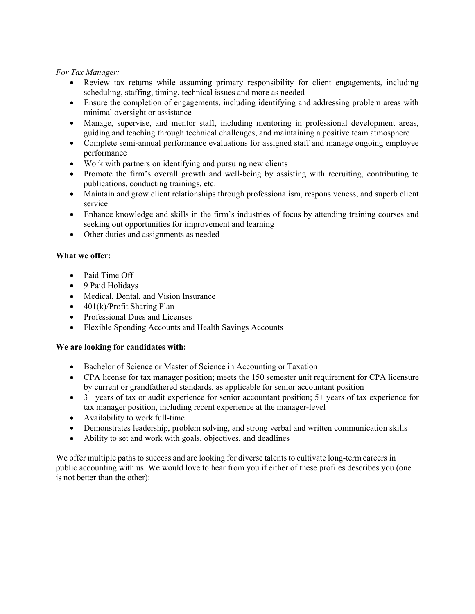*For Tax Manager:* 

- Review tax returns while assuming primary responsibility for client engagements, including scheduling, staffing, timing, technical issues and more as needed
- Ensure the completion of engagements, including identifying and addressing problem areas with minimal oversight or assistance
- Manage, supervise, and mentor staff, including mentoring in professional development areas, guiding and teaching through technical challenges, and maintaining a positive team atmosphere
- Complete semi-annual performance evaluations for assigned staff and manage ongoing employee performance
- Work with partners on identifying and pursuing new clients
- Promote the firm's overall growth and well-being by assisting with recruiting, contributing to publications, conducting trainings, etc.
- Maintain and grow client relationships through professionalism, responsiveness, and superb client service
- Enhance knowledge and skills in the firm's industries of focus by attending training courses and seeking out opportunities for improvement and learning
- Other duties and assignments as needed

### **What we offer:**

- Paid Time Off
- 9 Paid Holidays
- Medical, Dental, and Vision Insurance
- $\bullet$  401(k)/Profit Sharing Plan
- Professional Dues and Licenses
- Flexible Spending Accounts and Health Savings Accounts

### **We are looking for candidates with:**

- Bachelor of Science or Master of Science in Accounting or Taxation
- CPA license for tax manager position; meets the 150 semester unit requirement for CPA licensure by current or grandfathered standards, as applicable for senior accountant position
- 3+ years of tax or audit experience for senior accountant position; 5+ years of tax experience for tax manager position, including recent experience at the manager-level
- Availability to work full-time
- Demonstrates leadership, problem solving, and strong verbal and written communication skills
- Ability to set and work with goals, objectives, and deadlines

We offer multiple paths to success and are looking for diverse talents to cultivate long-term careers in public accounting with us. We would love to hear from you if either of these profiles describes you (one is not better than the other):